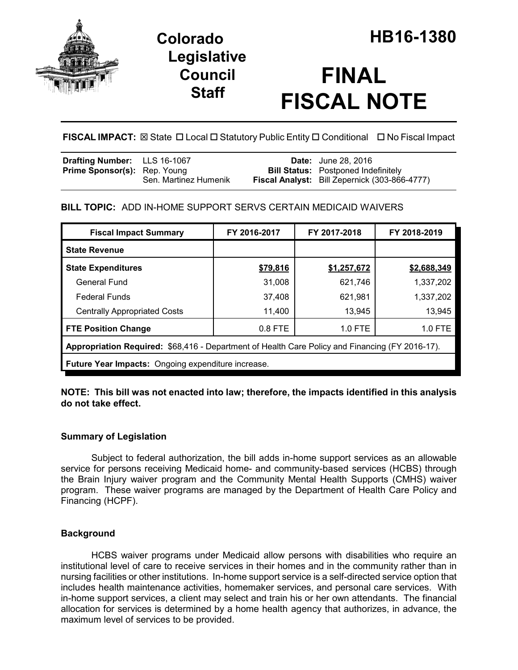

## **Legislative Council Staff**

# **FINAL FISCAL NOTE**

**FISCAL IMPACT:** ⊠ State **D** Local **D** Statutory Public Entity **D** Conditional **D** No Fiscal Impact

| <b>Drafting Number:</b> LLS 16-1067                          | <b>Date:</b> June 28, 2016                                                                         |
|--------------------------------------------------------------|----------------------------------------------------------------------------------------------------|
| <b>Prime Sponsor(s):</b> Rep. Young<br>Sen. Martinez Humenik | <b>Bill Status:</b> Postponed Indefinitely<br><b>Fiscal Analyst:</b> Bill Zepernick (303-866-4777) |
|                                                              |                                                                                                    |

## **BILL TOPIC:** ADD IN-HOME SUPPORT SERVS CERTAIN MEDICAID WAIVERS

| <b>Fiscal Impact Summary</b>                                                                    | FY 2016-2017 | FY 2017-2018 | FY 2018-2019 |
|-------------------------------------------------------------------------------------------------|--------------|--------------|--------------|
| <b>State Revenue</b>                                                                            |              |              |              |
| <b>State Expenditures</b>                                                                       | \$79,816     | \$1,257,672  | \$2,688,349  |
| <b>General Fund</b>                                                                             | 31,008       | 621,746      | 1,337,202    |
| <b>Federal Funds</b>                                                                            | 37,408       | 621,981      | 1,337,202    |
| <b>Centrally Appropriated Costs</b>                                                             | 11,400       | 13,945       | 13,945       |
| <b>FTE Position Change</b>                                                                      | $0.8$ FTE    | $1.0$ FTE    | 1.0 FTE      |
| Appropriation Required: \$68,416 - Department of Health Care Policy and Financing (FY 2016-17). |              |              |              |
| Future Year Impacts: Ongoing expenditure increase.                                              |              |              |              |

**NOTE: This bill was not enacted into law; therefore, the impacts identified in this analysis do not take effect.**

## **Summary of Legislation**

Subject to federal authorization, the bill adds in-home support services as an allowable service for persons receiving Medicaid home- and community-based services (HCBS) through the Brain Injury waiver program and the Community Mental Health Supports (CMHS) waiver program. These waiver programs are managed by the Department of Health Care Policy and Financing (HCPF).

## **Background**

HCBS waiver programs under Medicaid allow persons with disabilities who require an institutional level of care to receive services in their homes and in the community rather than in nursing facilities or other institutions. In-home support service is a self-directed service option that includes health maintenance activities, homemaker services, and personal care services. With in-home support services, a client may select and train his or her own attendants. The financial allocation for services is determined by a home health agency that authorizes, in advance, the maximum level of services to be provided.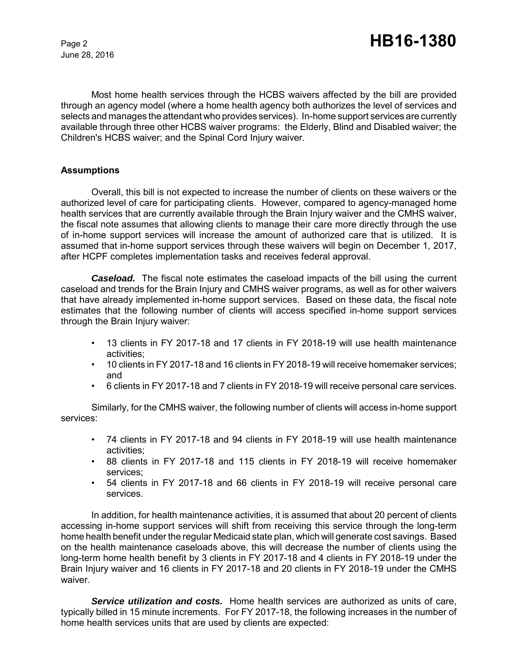June 28, 2016

Most home health services through the HCBS waivers affected by the bill are provided through an agency model (where a home health agency both authorizes the level of services and selects and manages the attendant who provides services). In-home support services are currently available through three other HCBS waiver programs: the Elderly, Blind and Disabled waiver; the Children's HCBS waiver; and the Spinal Cord Injury waiver.

#### **Assumptions**

Overall, this bill is not expected to increase the number of clients on these waivers or the authorized level of care for participating clients. However, compared to agency-managed home health services that are currently available through the Brain Injury waiver and the CMHS waiver, the fiscal note assumes that allowing clients to manage their care more directly through the use of in-home support services will increase the amount of authorized care that is utilized. It is assumed that in-home support services through these waivers will begin on December 1, 2017, after HCPF completes implementation tasks and receives federal approval.

**Caseload.** The fiscal note estimates the caseload impacts of the bill using the current caseload and trends for the Brain Injury and CMHS waiver programs, as well as for other waivers that have already implemented in-home support services. Based on these data, the fiscal note estimates that the following number of clients will access specified in-home support services through the Brain Injury waiver:

- 13 clients in FY 2017-18 and 17 clients in FY 2018-19 will use health maintenance activities;
- 10 clients in FY 2017-18 and 16 clients in FY 2018-19 will receive homemaker services; and
- 6 clients in FY 2017-18 and 7 clients in FY 2018-19 will receive personal care services.

Similarly, for the CMHS waiver, the following number of clients will access in-home support services:

- 74 clients in FY 2017-18 and 94 clients in FY 2018-19 will use health maintenance activities;
- 88 clients in FY 2017-18 and 115 clients in FY 2018-19 will receive homemaker services;
- 54 clients in FY 2017-18 and 66 clients in FY 2018-19 will receive personal care services.

In addition, for health maintenance activities, it is assumed that about 20 percent of clients accessing in-home support services will shift from receiving this service through the long-term home health benefit under the regular Medicaid state plan, which will generate cost savings. Based on the health maintenance caseloads above, this will decrease the number of clients using the long-term home health benefit by 3 clients in FY 2017-18 and 4 clients in FY 2018-19 under the Brain Injury waiver and 16 clients in FY 2017-18 and 20 clients in FY 2018-19 under the CMHS waiver.

*Service utilization and costs.* Home health services are authorized as units of care, typically billed in 15 minute increments. For FY 2017-18, the following increases in the number of home health services units that are used by clients are expected: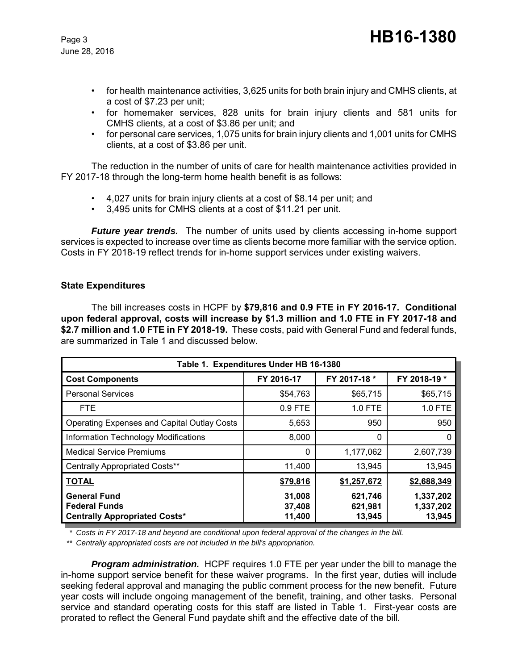June 28, 2016

- for health maintenance activities, 3,625 units for both brain injury and CMHS clients, at a cost of \$7.23 per unit;
- for homemaker services, 828 units for brain injury clients and 581 units for CMHS clients, at a cost of \$3.86 per unit; and
- for personal care services, 1,075 units for brain injury clients and 1,001 units for CMHS clients, at a cost of \$3.86 per unit.

The reduction in the number of units of care for health maintenance activities provided in FY 2017-18 through the long-term home health benefit is as follows:

- 4,027 units for brain injury clients at a cost of \$8.14 per unit; and
- 3,495 units for CMHS clients at a cost of \$11.21 per unit.

*Future year trends.* The number of units used by clients accessing in-home support services is expected to increase over time as clients become more familiar with the service option. Costs in FY 2018-19 reflect trends for in-home support services under existing waivers.

#### **State Expenditures**

The bill increases costs in HCPF by **\$79,816 and 0.9 FTE in FY 2016-17. Conditional upon federal approval, costs will increase by \$1.3 million and 1.0 FTE in FY 2017-18 and \$2.7 million and 1.0 FTE in FY 2018-19.** These costs, paid with General Fund and federal funds, are summarized in Tale 1 and discussed below.

| Table 1. Expenditures Under HB 16-1380                                              |                            |                              |                                  |
|-------------------------------------------------------------------------------------|----------------------------|------------------------------|----------------------------------|
| <b>Cost Components</b>                                                              | FY 2016-17                 | FY 2017-18 *                 | FY 2018-19 *                     |
| <b>Personal Services</b>                                                            | \$54,763                   | \$65,715                     | \$65,715                         |
| <b>FTE</b>                                                                          | 0.9 FTE                    | 1.0 FTE                      | 1.0 FTE                          |
| <b>Operating Expenses and Capital Outlay Costs</b>                                  | 5,653                      | 950                          | 950                              |
| Information Technology Modifications                                                | 8,000                      | $\mathbf{0}$                 |                                  |
| <b>Medical Service Premiums</b>                                                     | 0                          | 1,177,062                    | 2,607,739                        |
| <b>Centrally Appropriated Costs**</b>                                               | 11,400                     | 13,945                       | 13,945                           |
| <b>TOTAL</b>                                                                        | \$79,816                   | \$1,257,672                  | \$2,688,349                      |
| <b>General Fund</b><br><b>Federal Funds</b><br><b>Centrally Appropriated Costs*</b> | 31,008<br>37,408<br>11,400 | 621,746<br>621,981<br>13,945 | 1,337,202<br>1,337,202<br>13,945 |

*\* Costs in FY 2017-18 and beyond are conditional upon federal approval of the changes in the bill.*

*\*\* Centrally appropriated costs are not included in the bill's appropriation.*

*Program administration.* HCPF requires 1.0 FTE per year under the bill to manage the in-home support service benefit for these waiver programs. In the first year, duties will include seeking federal approval and managing the public comment process for the new benefit. Future year costs will include ongoing management of the benefit, training, and other tasks. Personal service and standard operating costs for this staff are listed in Table 1. First-year costs are prorated to reflect the General Fund paydate shift and the effective date of the bill.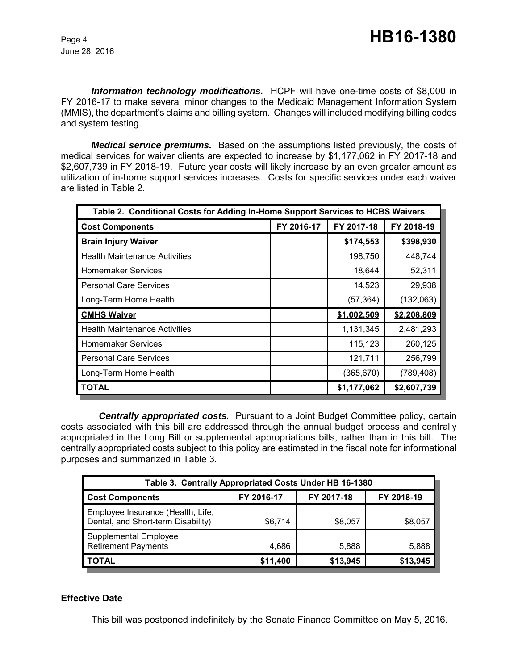*Information technology modifications.* HCPF will have one-time costs of \$8,000 in FY 2016-17 to make several minor changes to the Medicaid Management Information System (MMIS), the department's claims and billing system. Changes will included modifying billing codes and system testing.

*Medical service premiums.* Based on the assumptions listed previously, the costs of medical services for waiver clients are expected to increase by \$1,177,062 in FY 2017-18 and \$2,607,739 in FY 2018-19. Future year costs will likely increase by an even greater amount as utilization of in-home support services increases. Costs for specific services under each waiver are listed in Table 2.

| Table 2. Conditional Costs for Adding In-Home Support Services to HCBS Waivers |            |             |             |
|--------------------------------------------------------------------------------|------------|-------------|-------------|
| <b>Cost Components</b>                                                         | FY 2016-17 | FY 2017-18  | FY 2018-19  |
| <b>Brain Injury Waiver</b>                                                     |            | \$174,553   | \$398,930   |
| <b>Health Maintenance Activities</b>                                           |            | 198,750     | 448,744     |
| <b>Homemaker Services</b>                                                      |            | 18,644      | 52,311      |
| <b>Personal Care Services</b>                                                  |            | 14,523      | 29,938      |
| Long-Term Home Health                                                          |            | (57, 364)   | (132,063)   |
| <b>CMHS Waiver</b>                                                             |            | \$1,002,509 | \$2,208,809 |
| <b>Health Maintenance Activities</b>                                           |            | 1,131,345   | 2,481,293   |
| <b>Homemaker Services</b>                                                      |            | 115,123     | 260,125     |
| <b>Personal Care Services</b>                                                  |            | 121,711     | 256,799     |
| Long-Term Home Health                                                          |            | (365, 670)  | (789, 408)  |
| <b>TOTAL</b>                                                                   |            | \$1,177,062 | \$2,607,739 |

*Centrally appropriated costs.* Pursuant to a Joint Budget Committee policy, certain costs associated with this bill are addressed through the annual budget process and centrally appropriated in the Long Bill or supplemental appropriations bills, rather than in this bill. The centrally appropriated costs subject to this policy are estimated in the fiscal note for informational purposes and summarized in Table 3.

| Table 3. Centrally Appropriated Costs Under HB 16-1380                  |            |            |            |  |
|-------------------------------------------------------------------------|------------|------------|------------|--|
| <b>Cost Components</b>                                                  | FY 2016-17 | FY 2017-18 | FY 2018-19 |  |
| Employee Insurance (Health, Life,<br>Dental, and Short-term Disability) | \$6,714    | \$8,057    | \$8,057    |  |
| <b>Supplemental Employee</b><br><b>Retirement Payments</b>              | 4,686      | 5,888      | 5,888      |  |
| <b>TOTAL</b>                                                            | \$11,400   | \$13,945   | \$13,945   |  |

#### **Effective Date**

This bill was postponed indefinitely by the Senate Finance Committee on May 5, 2016.